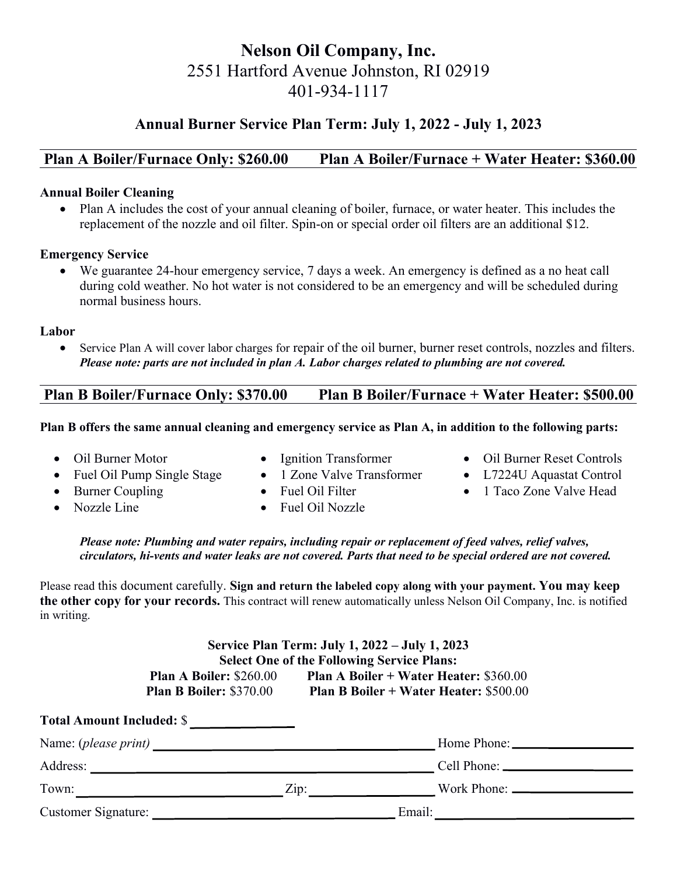# **Nelson Oil Company, Inc.** 2551 Hartford Avenue Johnston, RI 02919 401-934-1117

## **Annual Burner Service Plan Term: July 1, 2022 - July 1, 2023**

### **Plan A Boiler/Furnace Only: \$260.00 Plan A Boiler/Furnace + Water Heater: \$360.00**

#### **Annual Boiler Cleaning**

 Plan A includes the cost of your annual cleaning of boiler, furnace, or water heater. This includes the replacement of the nozzle and oil filter. Spin-on or special order oil filters are an additional \$12.

#### **Emergency Service**

We guarantee 24-hour emergency service, 7 days a week. An emergency is defined as a no heat call during cold weather. No hot water is not considered to be an emergency and will be scheduled during normal business hours.

#### **Labor**

 Service Plan A will cover labor charges for repair of the oil burner, burner reset controls, nozzles and filters. *Please note: parts are not included in plan A. Labor charges related to plumbing are not covered.*

### **Plan B Boiler/Furnace Only: \$370.00 Plan B Boiler/Furnace + Water Heater: \$500.00**

#### **Plan B offers the same annual cleaning and emergency service as Plan A, in addition to the following parts:**

• Oil Burner Motor

- Ignition Transformer
- Fuel Oil Pump Single Stage • 1 Zone Valve Transformer
- Burner Coupling

• Fuel Oil Filter

• Nozzle Line

Fuel Oil Nozzle

- Oil Burner Reset Controls
- L7224U Aquastat Control
- 1 Taco Zone Valve Head

#### *Please note: Plumbing and water repairs, including repair or replacement of feed valves, relief valves, circulators, hi-vents and water leaks are not covered. Parts that need to be special ordered are not covered.*

Please read this document carefully. **Sign and return the labeled copy along with your payment. You may keep the other copy for your records.** This contract will renew automatically unless Nelson Oil Company, Inc. is notified in writing.

| Service Plan Term: July 1, 2022 – July 1, 2023    |                                                            |  |
|---------------------------------------------------|------------------------------------------------------------|--|
| <b>Select One of the Following Service Plans:</b> |                                                            |  |
| <b>Plan A Boiler: \$260.00</b>                    | <b>Plan A Boiler + Water Heater: <math>\$360.00</math></b> |  |
| <b>Plan B Boiler: \$370.00</b>                    | <b>Plan B Boiler + Water Heater: \$500.00</b>              |  |

| <b>Total Amount Included: \$</b> |                    |        |
|----------------------------------|--------------------|--------|
|                                  |                    |        |
| Address:                         |                    |        |
| Town:                            | $\overline{Lip}$ : |        |
| <b>Customer Signature:</b>       |                    | Email: |